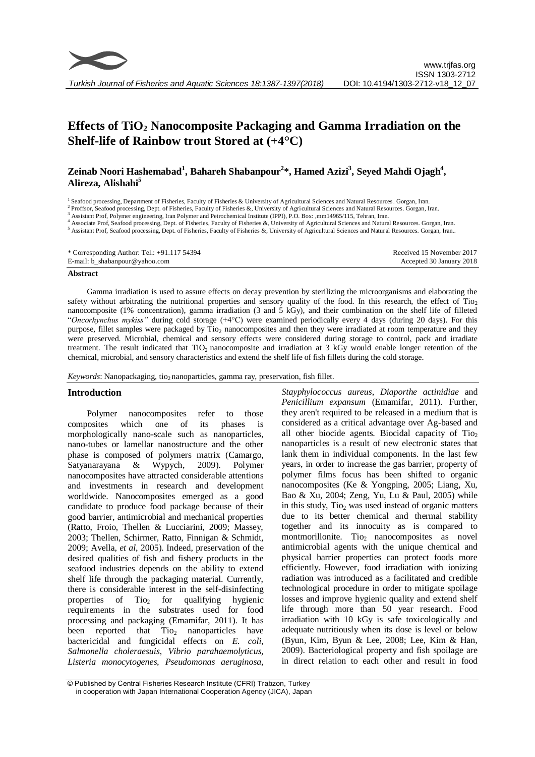

# **Effects of TiO<sup>2</sup> Nanocomposite Packaging and Gamma Irradiation on the Shelf-life of Rainbow trout Stored at (+4°C)**

# **Zeinab Noori Hashemabad<sup>1</sup> , Bahareh Shabanpour<sup>2</sup> \*, Hamed Azizi<sup>3</sup> , Seyed Mahdi Ojagh<sup>4</sup> , Alireza, Alishahi<sup>5</sup>**

<sup>1</sup> Seafood processing, Department of Fisheries, Faculty of Fisheries & University of Agricultural Sciences and Natural Resources. Gorgan, Iran.

<sup>2</sup> Proffsor, Seafood processing, Dept. of Fisheries, Faculty of Fisheries &, University of Agricultural Sciences and Natural Resources. Gorgan, Iran.

<sup>3</sup> Assistant Prof, Polymer engineering, Iran Polymer and Petrochemical Institute (IPPI), P.O. Box: ,mm14965/115, Tehran, Iran.

<sup>4</sup> Associate Prof, Seafood processing, Dept. of Fisheries, Faculty of Fisheries &, University of Agricultural Sciences and Natural Resources. Gorgan, Iran.

<sup>5</sup> Assistant Prof, Seafood processing, Dept. of Fisheries, Faculty of Fisheries &, University of Agricultural Sciences and Natural Resources. Gorgan, Iran..

\* Corresponding Author: Tel.: +91.117 54394 E-mail: b\_shabanpour@yahoo.com Received 15 November 2017 Accepted 30 January 2018

#### **Abstract**

Gamma irradiation is used to assure effects on decay prevention by sterilizing the microorganisms and elaborating the safety without arbitrating the nutritional properties and sensory quality of the food. In this research, the effect of  $Ti<sub>2</sub>$ nanocomposite (1% concentration), gamma irradiation (3 and 5 kGy), and their combination on the shelf life of filleted "*Oncorhynchus mykiss"* during cold storage (+4°C) were examined periodically every 4 days (during 20 days). For this purpose, fillet samples were packaged by Tio<sub>2</sub> nanocomposites and then they were irradiated at room temperature and they were preserved. Microbial, chemical and sensory effects were considered during storage to control, pack and irradiate treatment. The result indicated that TiO<sub>2</sub> nanocomposite and irradiation at 3 kGy would enable longer retention of the chemical, microbial, and sensory characteristics and extend the shelf life of fish fillets during the cold storage.

*Keywords*: Nanopackaging, tio<sub>2</sub> nanoparticles, gamma ray, preservation, fish fillet.

## **Introduction**

Polymer nanocomposites refer to those composites which one of its phases is morphologically nano-scale such as nanoparticles, nano-tubes or lamellar nanostructure and the other phase is composed of polymers matrix (Camargo, Satyanarayana & Wypych, 2009). Polymer nanocomposites have attracted considerable attentions and investments in research and development worldwide. Nanocomposites emerged as a good candidate to produce food package because of their good barrier, antimicrobial and mechanical properties (Ratto, Froio, Thellen & Lucciarini, 2009; Massey, 2003; Thellen, Schirmer, Ratto, Finnigan & Schmidt, 2009; Avella, *et al*, 2005). Indeed, preservation of the desired qualities of fish and fishery products in the seafood industries depends on the ability to extend shelf life through the packaging material. Currently, there is considerable interest in the self-disinfecting properties of  $Ti<sub>2</sub>$  for qualifying hygienic requirements in the substrates used for food processing and packaging (Emamifar, 2011). It has been reported that  $Ti_{22}$  nanoparticles have bactericidal and fungicidal effects on *E. coli*, *Salmonella choleraesuis*, *Vibrio parahaemolyticus, Listeria monocytogenes, Pseudomonas aeruginosa,*  *Stayphylococcus aureus*, *Diaporthe actinidiae* and *Penicillium expansum* (Emamifar, 2011). Further, they aren't required to be released in a medium that is considered as a critical advantage over Ag-based and all other biocide agents. Biocidal capacity of Tio<sub>2</sub> nanoparticles is a result of new electronic states that lank them in individual components. In the last few years, in order to increase the gas barrier, property of polymer films focus has been shifted to organic nanocomposites (Ke & Yongping, 2005; Liang, Xu, Bao & Xu, 2004; Zeng, Yu, Lu & Paul, 2005) while in this study,  $Ti<sub>2</sub>$  was used instead of organic matters due to its better chemical and thermal stability together and its innocuity as is compared to montmorillonite. Tio<sub>2</sub> nanocomposites as novel antimicrobial agents with the unique chemical and physical barrier properties can protect foods more efficiently. However, food irradiation with ionizing radiation was introduced as a facilitated and credible technological procedure in order to mitigate spoilage losses and improve hygienic quality and extend shelf life through more than 50 year research. Food irradiation with 10 kGy is safe toxicologically and adequate nutritiously when its dose is level or below (Byun, Kim, Byun & Lee, 2008; Lee, Kim & Han, 2009). Bacteriological property and fish spoilage are in direct relation to each other and result in food

<sup>©</sup> Published by Central Fisheries Research Institute (CFRI) Trabzon, Turkey in cooperation with Japan International Cooperation Agency (JICA), Japan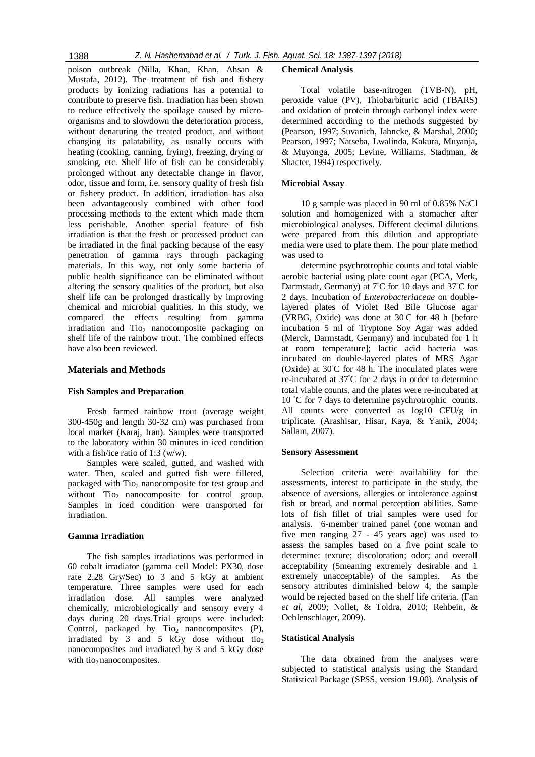poison outbreak (Nilla, Khan, Khan, Ahsan & Mustafa, 2012). The treatment of fish and fishery products by ionizing radiations has a potential to contribute to preserve fish. Irradiation has been shown to reduce effectively the spoilage caused by microorganisms and to slowdown the deterioration process, without denaturing the treated product, and without changing its palatability, as usually occurs with heating (cooking, canning, frying), freezing, drying or smoking, etc. Shelf life of fish can be considerably prolonged without any detectable change in flavor, odor, tissue and form, i.e. sensory quality of fresh fish or fishery product. In addition, irradiation has also been advantageously combined with other food processing methods to the extent which made them less perishable. Another special feature of fish irradiation is that the fresh or processed product can be irradiated in the final packing because of the easy penetration of gamma rays through packaging materials. In this way, not only some bacteria of public health significance can be eliminated without altering the sensory qualities of the product, but also shelf life can be prolonged drastically by improving chemical and microbial qualities. In this study, we compared the effects resulting from gamma  $irradiation$  and  $Ti<sub>0<sub>2</sub></sub>$  nanocomposite packaging on shelf life of the rainbow trout. The combined effects have also been reviewed.

## **Materials and Methods**

## **Fish Samples and Preparation**

Fresh farmed rainbow trout (average weight 300-450g and length 30-32 cm) was purchased from local market (Karaj, Iran). Samples were transported to the laboratory within 30 minutes in iced condition with a fish/ice ratio of 1:3 (w/w).

Samples were scaled, gutted, and washed with water. Then, scaled and gutted fish were filleted, packaged with Tio<sub>2</sub> nanocomposite for test group and without Tio<sub>2</sub> nanocomposite for control group. Samples in iced condition were transported for irradiation.

## **Gamma Irradiation**

The fish samples irradiations was performed in 60 cobalt irradiator (gamma cell Model: PX30, dose rate 2.28 Gry/Sec) to 3 and 5 kGy at ambient temperature. Three samples were used for each irradiation dose. All samples were analyzed chemically, microbiologically and sensory every 4 days during 20 days.Trial groups were included: Control, packaged by  $Ti_{O_2}$  nanocomposites (P), irradiated by  $3$  and  $5$  kGy dose without tio<sub>2</sub> nanocomposites and irradiated by 3 and 5 kGy dose with tio<sub>2</sub> nanocomposites.

#### **Chemical Analysis**

Total volatile base-nitrogen (TVB-N), pH, peroxide value (PV), Thiobarbituric acid (TBARS) and oxidation of protein through carbonyl index were determined according to the methods suggested by (Pearson, 1997; Suvanich, Jahncke, & Marshal, 2000; Pearson, 1997; Natseba, Lwalinda, Kakura, Muyanja, & Muyonga, 2005; Levine, Williams, Stadtman, & Shacter, 1994) respectively.

## **Microbial Assay**

10 g sample was placed in 90 ml of 0.85% NaCl solution and homogenized with a stomacher after microbiological analyses. Different decimal dilutions were prepared from this dilution and appropriate media were used to plate them. The pour plate method was used to

determine psychrotrophic counts and total viable aerobic bacterial using plate count agar (PCA, Merk, Darmstadt, Germany) at 7◦C for 10 days and 37◦C for 2 days. Incubation of *Enterobacteriaceae* on doublelayered plates of Violet Red Bile Glucose agar (VRBG, Oxide) was done at  $30^{\circ}$ C for 48 h [before incubation 5 ml of Tryptone Soy Agar was added (Merck, Darmstadt, Germany) and incubated for 1 h at room temperature]; lactic acid bacteria was incubated on double-layered plates of MRS Agar (Oxide) at 30◦C for 48 h. The inoculated plates were re-incubated at 37◦C for 2 days in order to determine total viable counts, and the plates were re-incubated at 10 ◦C for 7 days to determine psychrotrophic counts. All counts were converted as log10 CFU/g in triplicate. (Arashisar, Hisar, Kaya, & Yanik, 2004; Sallam, 2007).

#### **Sensory Assessment**

Selection criteria were availability for the assessments, interest to participate in the study, the absence of aversions, allergies or intolerance against fish or bread, and normal perception abilities. Same lots of fish fillet of trial samples were used for analysis. 6-member trained panel (one woman and five men ranging 27 - 45 years age) was used to assess the samples based on a five point scale to determine: texture; discoloration; odor; and overall acceptability (5meaning extremely desirable and 1 extremely unacceptable) of the samples. As the sensory attributes diminished below 4, the sample would be rejected based on the shelf life criteria. (Fan *et al*, 2009; Nollet, & Toldra, 2010; Rehbein, & Oehlenschlager, 2009).

#### **Statistical Analysis**

The data obtained from the analyses were subjected to statistical analysis using the Standard Statistical Package (SPSS, version 19.00). Analysis of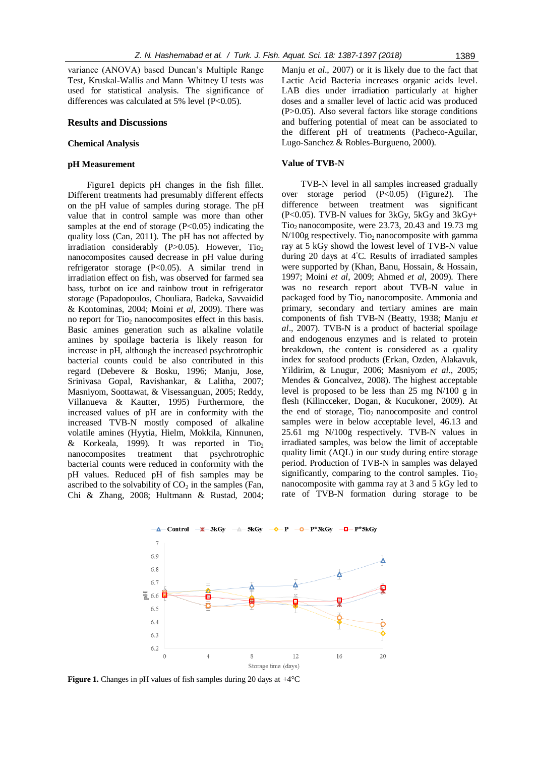variance (ANOVA) based Duncan's Multiple Range Test, Kruskal-Wallis and Mann–Whitney U tests was used for statistical analysis. The significance of differences was calculated at 5% level  $(P<0.05)$ .

#### **Results and Discussions**

## **Chemical Analysis**

## **pH Measurement**

Figure1 depicts pH changes in the fish fillet. Different treatments had presumably different effects on the pH value of samples during storage. The pH value that in control sample was more than other samples at the end of storage  $(P<0.05)$  indicating the quality loss (Can, 2011). The pH has not affected by irradiation considerably  $(P>0.05)$ . However, Tio<sub>2</sub> nanocomposites caused decrease in pH value during refrigerator storage (P<0.05). A similar trend in irradiation effect on fish, was observed for farmed sea bass, turbot on ice and rainbow trout in refrigerator storage (Papadopoulos, Chouliara, Badeka, Savvaidid & Kontominas, 2004; Moini *et al*, 2009). There was no report for  $Ti<sub>2</sub>$  nanocomposites effect in this basis. Basic amines generation such as alkaline volatile amines by spoilage bacteria is likely reason for increase in pH, although the increased psychrotrophic bacterial counts could be also contributed in this regard (Debevere & Bosku, 1996; Manju, Jose, Srinivasa Gopal, Ravishankar, & Lalitha, 2007; Masniyom, Soottawat, & Visessanguan, 2005; Reddy, Villanueva & Kautter, 1995) Furthermore, the increased values of pH are in conformity with the increased TVB-N mostly composed of alkaline volatile amines (Hyytia, Hielm, Mokkila, Kinnunen, & Korkeala, 1999). It was reported in Tio<sub>2</sub> nanocomposites treatment that psychrotrophic bacterial counts were reduced in conformity with the pH values. Reduced pH of fish samples may be ascribed to the solvability of  $CO<sub>2</sub>$  in the samples (Fan, Chi & Zhang, 2008; Hultmann & Rustad, 2004;

Manju *et al*., 2007) or it is likely due to the fact that Lactic Acid Bacteria increases organic acids level. LAB dies under irradiation particularly at higher doses and a smaller level of lactic acid was produced (P>0.05). Also several factors like storage conditions and buffering potential of meat can be associated to the different pH of treatments (Pacheco-Aguilar, Lugo-Sanchez & Robles-Burgueno, 2000).

#### **Value of TVB-N**

TVB-N level in all samples increased gradually over storage period (P<0.05) (Figure2). The difference between treatment was significant  $(P<0.05)$ . TVB-N values for 3kGy, 5kGy and 3kGy+ Tio<sub>2</sub> nanocomposite, were  $23.73$ ,  $20.43$  and  $19.73$  mg  $N/100g$  respectively. Tio<sub>2</sub> nanocomposite with gamma ray at 5 kGy showd the lowest level of TVB-N value during 20 days at 4◦C. Results of irradiated samples were supported by (Khan, Banu, Hossain, & Hossain, 1997; Moini *et al*, 2009; Ahmed *et al*, 2009). There was no research report about TVB-N value in packaged food by Tio<sub>2</sub> nanocomposite. Ammonia and primary, secondary and tertiary amines are main components of fish TVB-N (Beatty, 1938; Manju *et al*., 2007). TVB-N is a product of bacterial spoilage and endogenous enzymes and is related to protein breakdown, the content is considered as a quality index for seafood products (Erkan, Ozden, Alakavuk, Yildirim, & Lnugur, 2006; Masniyom *et al*., 2005; Mendes & Goncalvez, 2008). The highest acceptable level is proposed to be less than 25 mg N/100 g in flesh (Kilincceker, Dogan, & Kucukoner, 2009). At the end of storage,  $Ti<sub>2</sub>$  nanocomposite and control samples were in below acceptable level, 46.13 and 25.61 mg N/100g respectively. TVB-N values in irradiated samples, was below the limit of acceptable quality limit (AQL) in our study during entire storage period. Production of TVB-N in samples was delayed significantly, comparing to the control samples.  $Ti<sub>2</sub>$ nanocomposite with gamma ray at 3 and 5 kGy led to rate of TVB-N formation during storage to be

 $-$ **0**  $-P^*3kGv -$ **0**  $-P^*5kGv$  $\overline{A}$ - Control  $\frac{w}{2}$  3kGv  $A - 5kGv$ **p**  $\overline{7}$ 6.9  $6.8$ Δ 6.7 4 Δ  $\overline{4}$  6.6  $6.5$ 6.4 6.3  $6.2$  $\overline{0}$  $\overline{4}$ 8 12 16 20 Storage time (days)

**Figure 1.** Changes in pH values of fish samples during 20 days at +4°C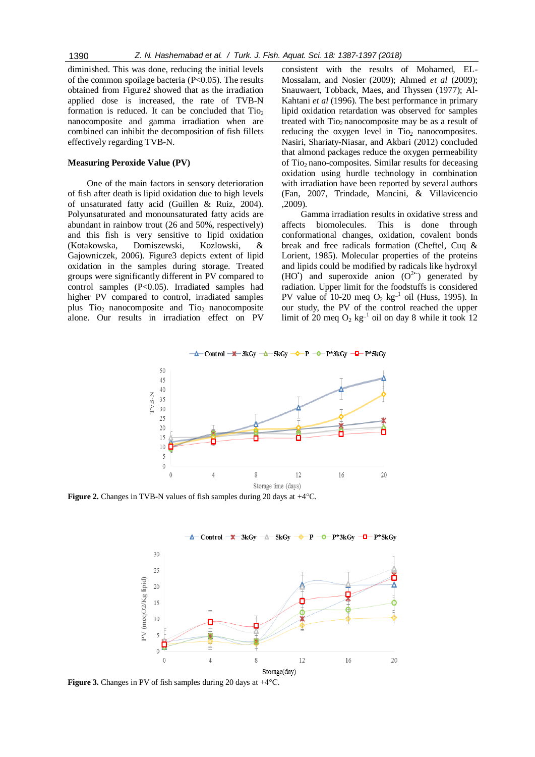diminished. This was done, reducing the initial levels of the common spoilage bacteria  $(P<0.05)$ . The results obtained from Figure2 showed that as the irradiation applied dose is increased, the rate of TVB-N formation is reduced. It can be concluded that  $Ti<sub>O</sub>$ nanocomposite and gamma irradiation when are combined can inhibit the decomposition of fish fillets effectively regarding TVB-N.

#### **Measuring Peroxide Value (PV)**

One of the main factors in sensory deterioration of fish after death is lipid oxidation due to high levels of unsaturated fatty acid (Guillen & Ruiz, 2004). Polyunsaturated and monounsaturated fatty acids are abundant in rainbow trout (26 and 50%, respectively) and this fish is very sensitive to lipid oxidation (Kotakowska, Domiszewski, Kozlowski, & Gajowniczek, 2006). Figure3 depicts extent of lipid oxidation in the samples during storage. Treated groups were significantly different in PV compared to control samples (P<0.05). Irradiated samples had higher PV compared to control, irradiated samples plus  $Ti<sub>2</sub>$  nanocomposite and  $Ti<sub>2</sub>$  nanocomposite alone. Our results in irradiation effect on PV

consistent with the results of Mohamed, EL-Mossalam, and Nosier (2009); Ahmed *et al* (2009); Snauwaert, Tobback, Maes, and Thyssen (1977); Al-Kahtani *et al* (1996). The best performance in primary lipid oxidation retardation was observed for samples treated with  $Ti<sub>2</sub>$  nanocomposite may be as a result of reducing the oxygen level in  $Ti<sub>o</sub>$  nanocomposites. Nasiri, Shariaty-Niasar, and Akbari (2012) concluded that almond packages reduce the oxygen permeability of Tio<sub>2</sub> nano-composites. Similar results for deceasing oxidation using hurdle technology in combination with irradiation have been reported by several authors (Fan, 2007, Trindade, Mancini, & Villavicencio ,2009).

Gamma irradiation results in oxidative stress and affects biomolecules. This is done through conformational changes, oxidation, covalent bonds break and free radicals formation (Cheftel, Cuq & Lorient, 1985). Molecular properties of the proteins and lipids could be modified by radicals like hydroxyl (HO') and superoxide anion  $(O^{2^*})$  generated by radiation. Upper limit for the foodstuffs is considered PV value of 10-20 meq  $O_2$  kg<sup>-1</sup> oil (Huss, 1995). In our study, the PV of the control reached the upper limit of 20 meq  $O_2$  kg<sup>-1</sup> oil on day 8 while it took 12



**Figure 2.** Changes in TVB-N values of fish samples during 20 days at +4°C.



**Figure 3.** Changes in PV of fish samples during 20 days at  $+4^{\circ}$ C.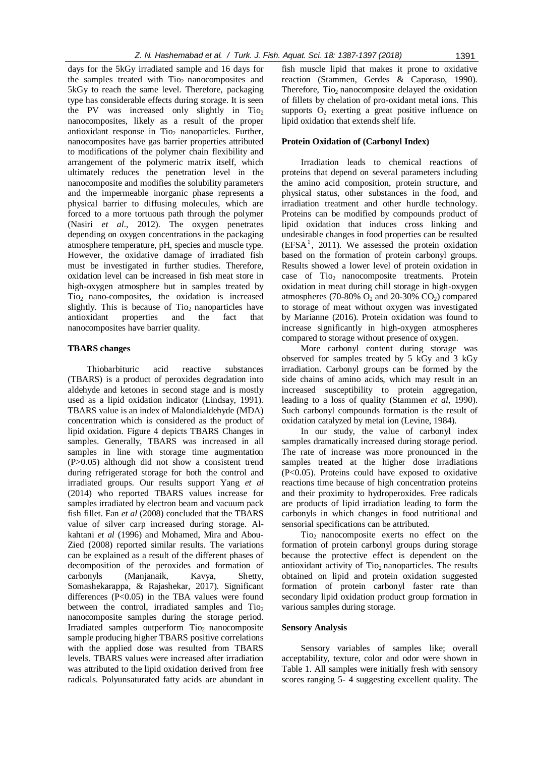days for the 5kGy irradiated sample and 16 days for the samples treated with  $Ti<sub>02</sub>$  nanocomposites and 5kGy to reach the same level. Therefore, packaging type has considerable effects during storage. It is seen the PV was increased only slightly in  $Ti<sub>2</sub>$ nanocomposites, likely as a result of the proper antioxidant response in Tio<sub>2</sub> nanoparticles. Further, nanocomposites have gas barrier properties attributed to modifications of the polymer chain flexibility and arrangement of the polymeric matrix itself, which ultimately reduces the penetration level in the nanocomposite and modifies the solubility parameters and the impermeable inorganic phase represents a physical barrier to diffusing molecules, which are forced to a more tortuous path through the polymer (Nasiri *et al*., 2012). The oxygen penetrates depending on oxygen concentrations in the packaging atmosphere temperature, pH, species and muscle type. However, the oxidative damage of irradiated fish must be investigated in further studies. Therefore, oxidation level can be increased in fish meat store in high-oxygen atmosphere but in samples treated by  $Ti<sub>2</sub>$  nano-composites, the oxidation is increased slightly. This is because of  $Ti<sub>2</sub>$  nanoparticles have antioxidant properties and the fact that nanocomposites have barrier quality.

## **TBARS changes**

Thiobarbituric acid reactive substances (TBARS) is a product of peroxides degradation into aldehyde and ketones in second stage and is mostly used as a lipid oxidation indicator (Lindsay, 1991). TBARS value is an index of Malondialdehyde (MDA) concentration which is considered as the product of lipid oxidation. Figure 4 depicts TBARS Changes in samples. Generally, TBARS was increased in all samples in line with storage time augmentation (P>0.05) although did not show a consistent trend during refrigerated storage for both the control and irradiated groups. Our results support Yang *et al* (2014) who reported TBARS values increase for samples irradiated by electron beam and vacuum pack fish fillet. Fan *et al* (2008) concluded that the TBARS value of silver carp increased during storage. Alkahtani *et al* (1996) and Mohamed, Mira and Abou-Zied (2008) reported similar results. The variations can be explained as a result of the different phases of decomposition of the peroxides and formation of carbonyls (Manjanaik, Kavya, Shetty, Somashekarappa, & Rajashekar, 2017). Significant differences  $(P<0.05)$  in the TBA values were found between the control, irradiated samples and  $Ti<sub>o</sub>$ nanocomposite samples during the storage period. Irradiated samples outperform  $Ti<sub>o</sub>$  nanocomposite sample producing higher TBARS positive correlations with the applied dose was resulted from TBARS levels. TBARS values were increased after irradiation was attributed to the lipid oxidation derived from free radicals. Polyunsaturated fatty acids are abundant in

fish muscle lipid that makes it prone to oxidative reaction (Stammen, Gerdes & Caporaso, 1990). Therefore,  $Ti<sub>2</sub>$  nanocomposite delayed the oxidation of fillets by chelation of pro-oxidant metal ions. This supports  $O_2$  exerting a great positive influence on lipid oxidation that extends shelf life.

# **Protein Oxidation of (Carbonyl Index)**

Irradiation leads to chemical reactions of proteins that depend on several parameters including the amino acid composition, protein structure, and physical status, other substances in the food, and irradiation treatment and other hurdle technology. Proteins can be modified by compounds product of lipid oxidation that induces cross linking and undesirable changes in food properties can be resulted  $(EFSA<sup>1</sup>, 2011)$ . We assessed the protein oxidation based on the formation of protein carbonyl groups. Results showed a lower level of protein oxidation in case of Tio<sub>2</sub> nanocomposite treatments. Protein oxidation in meat during chill storage in high-oxygen atmospheres (70-80%  $O_2$  and 20-30%  $CO_2$ ) compared to storage of meat without oxygen was investigated by Marianne (2016). Protein oxidation was found to increase significantly in high-oxygen atmospheres compared to storage without presence of oxygen.

More carbonyl content during storage was observed for samples treated by 5 kGy and 3 kGy irradiation. Carbonyl groups can be formed by the side chains of amino acids, which may result in an increased susceptibility to protein aggregation, leading to a loss of quality (Stammen *et al*, 1990). Such carbonyl compounds formation is the result of oxidation catalyzed by metal ion (Levine, 1984).

In our study, the value of carbonyl index samples dramatically increased during storage period. The rate of increase was more pronounced in the samples treated at the higher dose irradiations (P<0.05). Proteins could have exposed to oxidative reactions time because of high concentration proteins and their proximity to hydroperoxides. Free radicals are products of lipid irradiation leading to form the carbonyls in which changes in food nutritional and sensorial specifications can be attributed.

Tio<sub>2</sub> nanocomposite exerts no effect on the formation of protein carbonyl groups during storage because the protective effect is dependent on the antioxidant activity of  $Ti<sub>0</sub>$  nanoparticles. The results obtained on lipid and protein oxidation suggested formation of protein carbonyl faster rate than secondary lipid oxidation product group formation in various samples during storage.

## **Sensory Analysis**

Sensory variables of samples like; overall acceptability, texture, color and odor were shown in Table 1. All samples were initially fresh with sensory scores ranging 5- 4 suggesting excellent quality. The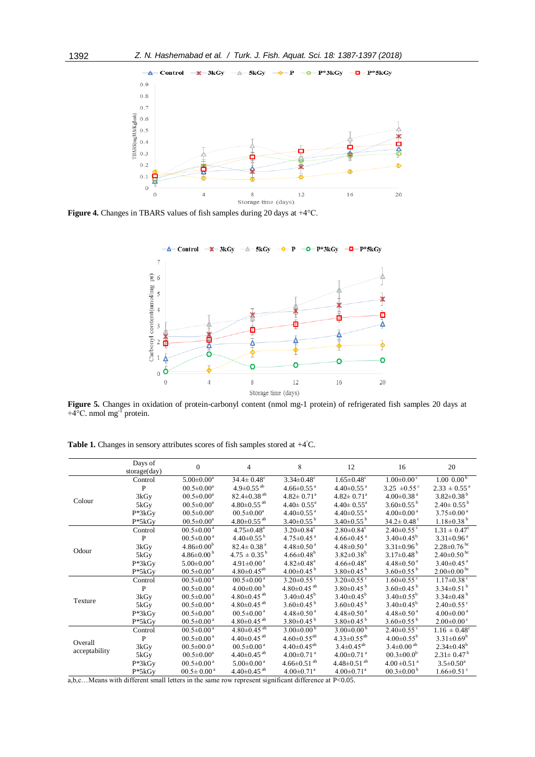

**Figure 4.** Changes in TBARS values of fish samples during 20 days at +4°C.



**Figure 5.** Changes in oxidation of protein-carbonyl content (nmol mg-1 protein) of refrigerated fish samples 20 days at  $+4^{\circ}$ C. nmol mg<sup>-I</sup> protein.

|  | Table 1. Changes in sensory attributes scores of fish samples stored at $+4^{\circ}$ C. |  |  |  |  |
|--|-----------------------------------------------------------------------------------------|--|--|--|--|
|  |                                                                                         |  |  |  |  |

|               | Days of       | $\Omega$                     | $\overline{4}$                | 8                             | 12                            | 16                           | 20                            |
|---------------|---------------|------------------------------|-------------------------------|-------------------------------|-------------------------------|------------------------------|-------------------------------|
|               | storage (day) |                              |                               |                               |                               |                              |                               |
|               | Control       | $5.00 \pm 0.00^a$            | $34.4 \pm 0.48$ <sup>c</sup>  | $3.34 \pm 0.48$ <sup>c</sup>  | $1.65 \pm 0.48$ <sup>c</sup>  | $1.00 \pm 0.00$ °            | 1.00~0.00 <sup>b</sup>        |
|               | P             | $00.5 \pm 0.00^a$            | $4.9 \pm 0.55$ <sup>ab</sup>  | $4.66 \pm 0.55$ <sup>a</sup>  | $4.40\pm0.55$ <sup>a</sup>    | 3.25 $\pm 0.55$ <sup>c</sup> | $2.33 \pm 0.55$ <sup>a</sup>  |
| Colour        | 3kGy          | $00.5 \pm 0.00^{\circ}$      | $82.4 \pm 0.38$ <sup>ab</sup> | $4.82 \pm 0.71$ <sup>a</sup>  | $4.82 \pm 0.71$ <sup>a</sup>  | $4.00 \pm 0.38$ <sup>a</sup> | $3.82 \pm 0.38^{\mathrm{b}}$  |
|               | 5kGy          | $00.5 \pm 0.00^{\mathrm{a}}$ | $4.80\pm0.55$ <sup>ab</sup>   | $4.40 \pm 0.55$ <sup>a</sup>  | $4.40 \pm 0.55$ <sup>a</sup>  | $3.60\pm0.55^{b}$            | $2.40\pm0.55^{b}$             |
|               | $P*3kGy$      | $00.5 \pm 0.00^{\circ}$      | $00.5 \pm 0.00^{\rm a}$       | $4.40\pm0.55$ <sup>a</sup>    | $4.40\pm0.55$ <sup>a</sup>    | $4.00\pm0.00^{\text{ a}}$    | $3.75 \pm 0.00^{\text{a}}$    |
|               | $P*5kGy$      | $00.5 \pm 0.00^a$            | $4.80\pm0.55$ <sup>ab</sup>   | $3.40\pm0.55$ <sup>b</sup>    | $3.40\pm0.55^{\mathrm{b}}$    | $34.2 \pm 0.48$ <sup>c</sup> | $1.18 \pm 0.38^{\mathrm{b}}$  |
|               | Control       | $00.5 \pm 0.00^{\text{ a}}$  | $4.75 \pm 0.48$ <sup>a</sup>  | $3.20 \pm 0.84$ <sup>c</sup>  | $2.80 \pm 0.84$ <sup>c</sup>  | $2.40\pm0.55$ <sup>c</sup>   | $1.31 \pm 0.47^c$             |
|               | $\mathbf{P}$  | $00.5 \pm 0.00^{\text{a}}$   | $4.40\pm0.55^{b}$             | $4.75 \pm 0.45$ <sup>a</sup>  | $4.66 \pm 0.45$ <sup>a</sup>  | $3.40\pm0.45^{\rm b}$        | $3.31 \pm 0.96$ <sup>a</sup>  |
| Odour         | 3kGy          | $4.86 \pm 0.00^{\rm b}$      | $82.4 \pm 0.38$ <sup>a</sup>  | $4.48 \pm 0.50$ <sup>a</sup>  | $4.48 \pm 0.50$ <sup>a</sup>  | $3.31 \pm 0.96^{\mathrm{b}}$ | $2.28 \pm 0.76$ <sup>bc</sup> |
|               | 5kGy          | $4.86 \pm 0.00^{\mathrm{b}}$ | $4.75 \pm 0.35^{\mathrm{b}}$  | $4.66 \pm 0.48^b$             | $3.82 \pm 0.38^b$             | $3.17 \pm 0.48$ <sup>b</sup> | $2.40\pm0.50^{bc}$            |
|               | $P*3kGy$      | $5.00\pm0.00$ $^{\rm a}$     | $4.91 \pm 0.00^{\text{a}}$    | $4.82 \pm 0.48$ <sup>a</sup>  | $4.66 \pm 0.48$ <sup>a</sup>  | $4.48 \pm 0.50$ <sup>a</sup> | $3.40 \pm 0.45$ <sup>a</sup>  |
|               | $P*5kGy$      | $00.5 \pm 0.00^{\text{a}}$   | $4.80\pm0.45^{ab}$            | 4.00 $\pm$ 0.45 $^{\circ}$    | $3.80\pm0.45^{b}$             | $3.60\pm0.55^{b}$            | $2.00\pm0.00^{bc}$            |
|               | Control       | $00.5 \pm 0.00$ <sup>a</sup> | $00.5 \pm 0.00$ <sup>a</sup>  | $3.20 \pm 0.55$ °             | $3.20 \pm 0.55$ <sup>c</sup>  | $1.60 \pm 0.55$ <sup>c</sup> | $1.17 \pm 0.38$ <sup>c</sup>  |
|               | P             | $00.5 \pm 0.00^{\text{a}}$   | $4.00\pm0.00^{b}$             | $4.80\pm0.45$ <sup>ab</sup>   | $3.80\pm0.45^{b}$             | $3.60\pm0.45$ <sup>b</sup>   | $3.34 \pm 0.51$ <sup>b</sup>  |
|               | 3kGy          | $00.5 \pm 0.00^{\text{a}}$   | $4.80 \pm 0.45$ <sup>ab</sup> | $3.40 \pm 0.45^{\rm b}$       | $3.40\pm0.45^{\rm b}$         | $3.40 \pm 0.55^{\rm b}$      | $3.34 \pm 0.48$ <sup>b</sup>  |
| Texture       | 5kGy          | $00.5 \pm 0.00$ <sup>a</sup> | $4.80 \pm 0.45$ <sup>ab</sup> | $3.60 \pm 0.45$ <sup>b</sup>  | $3.60 \pm 0.45$ <sup>b</sup>  | $3.40\pm0.45^{\rm b}$        | $2.40\pm0.55$ °               |
|               | $P*3kGy$      | $00.5 \pm 0.00^{\text{ a}}$  | $00.5 \pm 0.00^{\text{ a}}$   | $4.48 \pm 0.50$ <sup>a</sup>  | $4.48 \pm 0.50$ <sup>a</sup>  | $4.48 \pm 0.50$ <sup>a</sup> | $4.00 \pm 0.00$ <sup>a</sup>  |
|               | $P*5kGy$      | $00.5 \pm 0.00$ <sup>a</sup> | $4.80\pm0.45$ <sup>ab</sup>   | $3.80\pm0.45$ <sup>b</sup>    | $3.80\pm0.45^{\mathrm{b}}$    | $3.60\pm0.55^{b}$            | $2.00 \pm 0.00$ <sup>c</sup>  |
|               | Control       | $00.5 \pm 0.00$ <sup>a</sup> | $4.80 \pm 0.45$ <sup>ab</sup> | $3.00\pm0.00^{b}$             | $3.00\pm0.00^{\mathrm{b}}$    | $2.40\pm0.55$ <sup>c</sup>   | $1.16 \pm 0.48^{\circ}$       |
| Overall       | $\mathbf{P}$  | $00.5 \pm 0.00^{\text{a}}$   | $4.40\pm0.45$ <sup>ab</sup>   | $4.60 \pm 0.55$ <sup>ab</sup> | $4.33 \pm 0.55^{ab}$          | $4.00 \pm 0.55^{\rm b}$      | $3.31 \pm 0.69^b$             |
|               | 3kGy          | $00.5 \pm 00.0$ <sup>a</sup> | $00.5 \pm 0.00^{\text{ a}}$   | $4.40\pm0.45^{ab}$            | $3.4 \pm 0.45^{ab}$           | $3.4 \pm 0.00$ <sup>ab</sup> | $2.34 \pm 0.48$ <sup>b</sup>  |
| acceptability | 5kGy          | $00.5 \pm 0.00^{\rm a}$      | $4.40\pm0.45$ <sup>ab</sup>   | $4.00 \pm 0.71$ <sup>a</sup>  | $4.00 \pm 0.71$ <sup>a</sup>  | $00.3 \pm 00.0^b$            | $2.31 \pm 0.47^{\mathrm{b}}$  |
|               | $P*3kGy$      | $00.5 \pm 0.00^{\text{ a}}$  | $5.00 \pm 0.00^{\text{ a}}$   | $4.66 \pm 0.51$ <sup>ab</sup> | $4.48 \pm 0.51$ <sup>ab</sup> | $4.00 \pm 0.51$ <sup>a</sup> | $3.5 \pm 0.50^a$              |
|               | $P*5kGv$      | $00.5 \pm 0.00^{\text{ a}}$  | $4.40\pm0.45$ <sup>ab</sup>   | $4.00 \pm 0.71$ <sup>a</sup>  | $4.00 \pm 0.71$ <sup>a</sup>  | $00.3 \pm 0.00^{\mathrm{b}}$ | $1.66 \pm 0.51$ <sup>c</sup>  |

a,b,c…Means with different small letters in the same row represent significant difference at P<0.05.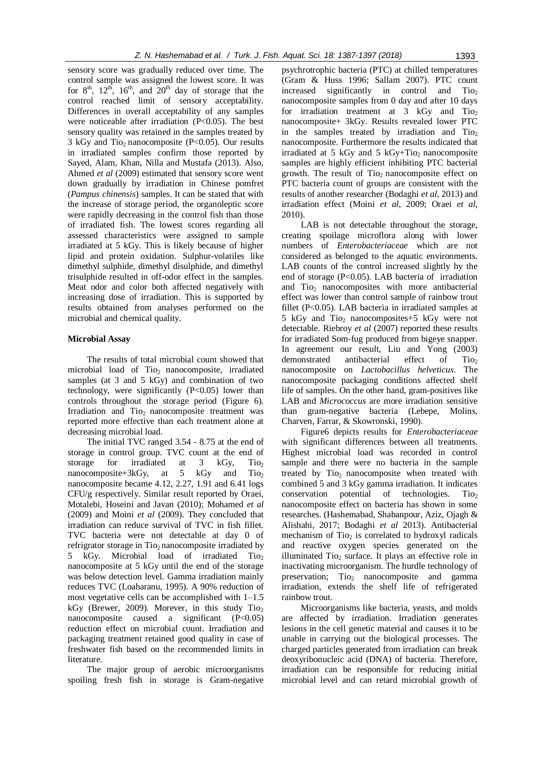sensory score was gradually reduced over time. The control sample was assigned the lowest score. It was for  $8<sup>th</sup>$ ,  $12<sup>th</sup>$ ,  $16<sup>th</sup>$ , and  $20<sup>th</sup>$  day of storage that the control reached limit of sensory acceptability. Differences in overall acceptability of any samples were noticeable after irradiation (P<0.05). The best sensory quality was retained in the samples treated by 3 kGy and Tio<sub>2</sub> nanocomposite (P<0.05). Our results in irradiated samples confirm those reported by Sayed, Alam, Khan, Nilla and Mustafa (2013). Also, Ahmed *et al* (2009) estimated that sensory score went down gradually by irradiation in Chinese pomfret (*Pampus chinensis*) samples. It can be stated that with the increase of storage period, the organoleptic score were rapidly decreasing in the control fish than those of irradiated fish. The lowest scores regarding all assessed characteristics were assigned to sample irradiated at 5 kGy. This is likely because of higher lipid and protein oxidation. Sulphur-volatiles like dimethyl sulphide, dimethyl disulphide, and dimethyl trisulphide resulted in off-odor effect in the samples. Meat odor and color both affected negatively with increasing dose of irradiation. This is supported by results obtained from analyses performed on the microbial and chemical quality.

# **Microbial Assay**

The results of total microbial count showed that microbial load of Tio<sub>2</sub> nanocomposite, irradiated samples (at 3 and 5 kGy) and combination of two technology, were significantly  $(P<0.05)$  lower than controls throughout the storage period (Figure 6). Irradiation and Tio<sub>2</sub> nanocomposite treatment was reported more effective than each treatment alone at decreasing microbial load.

The initial TVC ranged 3.54 - 8.75 at the end of storage in control group. TVC count at the end of storage for irradiated at  $3 \text{ kGy}$ , Tio<sub>2</sub> nanocomposite+3kGy, at  $5$  kGy and Tio<sub>2</sub> nanocomposite became 4.12, 2.27, 1.91 and 6.41 logs CFU/g respectively. Similar result reported by Oraei, Motalebi, Hoseini and Javan (2010); Mohamed *et al* (2009) and Moini *et al* (2009). They concluded that irradiation can reduce survival of TVC in fish fillet. TVC bacteria were not detectable at day 0 of refrigrator storage in Tio<sub>2</sub> nanocomposite irradiated by 5 kGy. Microbial load of irradiated Tio<sub>2</sub> nanocomposite at 5 kGy until the end of the storage was below detection level. Gamma irradiation mainly reduces TVC (Loaharanu, 1995). A 90% reduction of most vegetative cells can be accomplished with 1–1.5 kGy (Brewer, 2009). Morever, in this study  $TiO<sub>2</sub>$ nanocomposite caused a significant  $(P<0.05)$ reduction effect on microbial count. Irradiation and packaging treatment retained good quality in case of freshwater fish based on the recommended limits in literature.

The major group of aerobic microorganisms spoiling fresh fish in storage is Gram-negative

psychrotrophic bacteria (PTC) at chilled temperatures (Gram & Huss 1996; Sallam 2007). PTC count increased significantly in control and  $Ti<sub>2</sub>$ nanocomposite samples from 0 day and after 10 days for irradiation treatment at  $3$  kGy and Tio<sub>2</sub> nanocomposite+ 3kGy. Results revealed lower PTC in the samples treated by irradiation and Tio<sub>2</sub> nanocomposite. Furthermore the results indicated that irradiated at 5 kGy and 5 kGy+Tio<sub>2</sub> nanocomposite samples are highly efficient inhibiting PTC bacterial growth. The result of  $Ti<sub>0</sub>$  nanocomposite effect on PTC bacteria count of groups are consistent with the results of another researcher (Bodaghi *et al*, 2013) and irradiation effect (Moini *et al*, 2009; Oraei *et al*, 2010).

LAB is not detectable throughout the storage, creating spoilage microflora along with lower numbers of *Enterobacteriaceae* which are not considered as belonged to the aquatic environments. LAB counts of the control increased slightly by the end of storage (P<0.05). LAB bacteria of irradiation and Tio<sub>2</sub> nanocomposites with more antibacterial effect was lower than control sample of rainbow trout fillet (P<0.05). LAB bacteria in irradiated samples at 5 kGy and  $Ti_{2}$  nanocomposites +5 kGy were not detectable. Riebroy *et al* (2007) reported these results for irradiated Som-fug produced from bigeye snapper. In agreement our result, Liu and Yong (2003) demonstrated antibacterial effect of Tio<sub>2</sub> nanocomposite on *Lactobacillus helveticus*. The nanocomposite packaging conditions affected shelf life of samples. On the other hand, gram-positives like LAB and *Micrococcus* are more irradiation sensitive than gram-negative bacteria (Lebepe, Molins, Charven, Farrar, & Skowronski, 1990).

Figure6 depicts results for *Enterobacteriaceae*  with significant differences between all treatments. Highest microbial load was recorded in control sample and there were no bacteria in the sample treated by  $Ti<sub>2</sub>$  nanocomposite when treated with combined 5 and 3 kGy gamma irradiation. It indicates conservation potential of technologies. Tio<sub>2</sub> nanocomposite effect on bacteria has shown in some researches. (Hashemabad, Shabanpour, Aziz, Ojagh & Alishahi, 2017; Bodaghi *et al* 2013). Antibacterial mechanism of  $Ti<sub>02</sub>$  is correlated to hydroxyl radicals and reactive oxygen species generated on the illuminated Tio<sub>2</sub> surface. It plays an effective role in inactivating microorganism. The hurdle technology of preservation; Tio<sub>2</sub> nanocomposite and gamma irradiation, extends the shelf life of refrigerated rainbow trout.

Microorganisms like bacteria, yeasts, and molds are affected by irradiation. Irradiation generates lesions in the cell genetic material and causes it to be unable in carrying out the biological processes. The charged particles generated from irradiation can break deoxyribonucleic acid (DNA) of bacteria. Therefore, irradiation can be responsible for reducing initial microbial level and can retard microbial growth of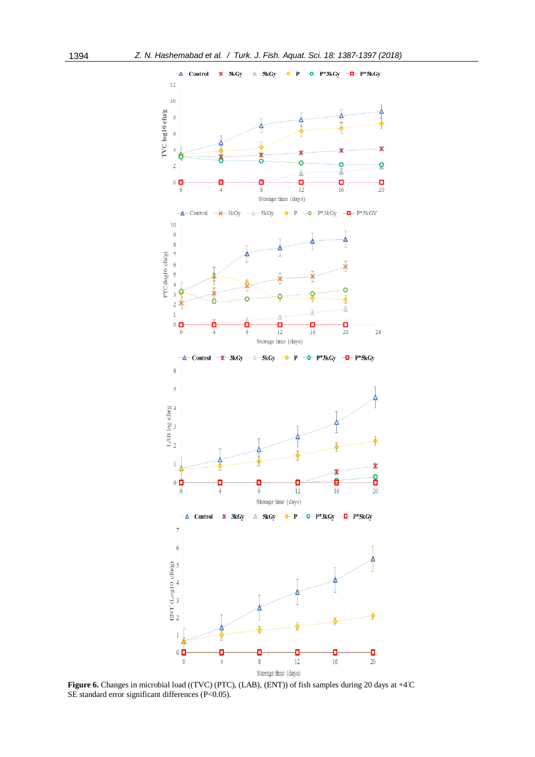

**Figure 6.** Changes in microbial load ((TVC) (PTC), (LAB), (ENT)) of fish samples during 20 days at +4◦C SE standard error significant differences (P<0.05).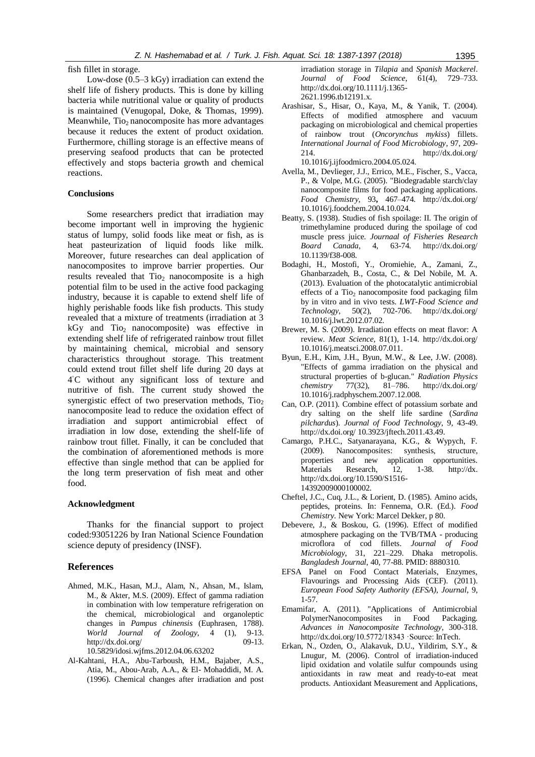fish fillet in storage.

Low-dose (0.5–3 kGy) irradiation can extend the shelf life of fishery products. This is done by killing bacteria while nutritional value or quality of products is maintained (Venugopal, Doke, & Thomas, 1999). Meanwhile,  $Ti<sub>2</sub>$  nanocomposite has more advantages because it reduces the extent of product oxidation. Furthermore, chilling storage is an effective means of preserving seafood products that can be protected effectively and stops bacteria growth and chemical reactions.

## **Conclusions**

Some researchers predict that irradiation may become important well in improving the hygienic status of lumpy, solid foods like meat or fish, as is heat pasteurization of liquid foods like milk. Moreover, future researches can deal application of nanocomposites to improve barrier properties. Our results revealed that  $Ti<sub>2</sub>$  nanocomposite is a high potential film to be used in the active food packaging industry, because it is capable to extend shelf life of highly perishable foods like fish products. This study revealed that a mixture of treatments (irradiation at 3  $kGy$  and  $Tio<sub>2</sub>$  nanocomposite) was effective in extending shelf life of refrigerated rainbow trout fillet by maintaining chemical, microbial and sensory characteristics throughout storage. This treatment could extend trout fillet shelf life during 20 days at 4 ◦C without any significant loss of texture and nutritive of fish. The current study showed the synergistic effect of two preservation methods,  $Ti<sub>2</sub>$ nanocomposite lead to reduce the oxidation effect of irradiation and support antimicrobial effect of irradiation in low dose, extending the shelf-life of rainbow trout fillet. Finally, it can be concluded that the combination of aforementioned methods is more effective than single method that can be applied for the long term preservation of fish meat and other food.

#### **Acknowledgment**

Thanks for the financial support to project coded:93051226 by Iran National Science Foundation science deputy of presidency (INSF).

#### **References**

- Ahmed, M.K., Hasan, M.J., Alam, N., Ahsan, M., Islam, M., & Akter, M.S. (2009). Effect of gamma radiation in combination with low temperature refrigeration on the chemical, microbiological and organoleptic changes in *Pampus chinensis* (Euphrasen, 1788). *World Journal of Zoology,* 4 (1), 9-13.<br>http://dx.doi.org/ 09-13. <http://dx.doi.org/> 10.5829/idosi.wjfms.2012.04.06.63202
- Al-Kahtani, H.A., Abu-Tarboush, H.M., Bajaber, A.S., Atia, M., Abou-Arab, A.A., & El- Mohaddidi, M. A. (1996). Chemical changes after irradiation and post

irradiation storage in *Tilapia* and *Spanish Mackerel*. *Journal of Food Science*, 61(4), 729–733. [http://dx.doi.org/1](http://dx.doi.org/)0.1111/j.1365- 2621.1996.tb12191.x.

- Arashisar, S., Hisar, O., Kaya, M., & Yanik, T. (2004). Effects of modified atmosphere and vacuum packaging on microbiological and chemical properties of rainbow trout (*Oncorynchus mykiss*) fillets. *International Journal of Food Microbiology*, 97, 209- 214. <http://dx.doi.org/> 10.1016/j.ijfoodmicro.2004.05.024.
- Avella, M., Devlieger, J.J., Errico, M.E., Fischer, S., Vacca, P., & Volpe, M.G. (2005). "Biodegradable starch/clay nanocomposite films for food packaging applications. *Food Chemistry*, 93**,** 467–474. <http://dx.doi.org/> [10.1016/j.foodchem.2004.10.024.](https://doi.org/10.1016/j.foodchem.2004.10.024)
- Beatty, S. (1938). Studies of fish spoilage: II. The origin of trimethylamine produced during the spoilage of cod muscle press juice. *Journaal of Fisheries Research Board Canada*, 4, 63-74. <http://dx.doi.org/> [10.1139/f38-008.](https://doi.org/10.1139/f38-008)
- Bodaghi, H., Mostofi, Y., Oromiehie, A., Zamani, Z., Ghanbarzadeh, B., Costa, C., & Del Nobile, M. A. (2013). Evaluation of the photocatalytic antimicrobial effects of a Tio<sub>2</sub> nanocomposite food packaging film by in vitro and in vivo tests. *LWT-Food Science and Technology*, 50(2), 702-706. <http://dx.doi.org/> 10.1016/j.lwt.2012.07.02.
- Brewer, M. S. (2009). Irradiation effects on meat flavor: A review. *Meat Science*, 81(1), 1-14.<http://dx.doi.org/> [10.1016/j.meatsci.2008.07.011.](https://doi.org/10.1016/j.meatsci.2008.07.011)
- Byun, E.H., Kim, J.H., Byun, M.W., & Lee, J.W. (2008). "Effects of gamma irradiation on the physical and structural properties of b-glucan." *Radiation Physics chemistry* 77(32), 81–786. <http://dx.doi.org/> 10.1016/j.radphyschem.2007.12.008.
- Can, O.P. (2011). Combine effect of potassium sorbate and dry salting on the shelf life sardine (*Sardina pilchardus*). *Journal of Food Technology*, 9, 43-49. <http://dx.doi.org/> 10.3923/jftech.2011.43.49.
- Camargo, P.H.C., Satyanarayana, K.G., & Wypych, F. (2009). Nanocomposites: synthesis, structure, properties and new application opportunities. [Materials Research,](http://www.scielo.br/scielo.php?script=sci_serial&pid=1516-1439&lng=en&nrm=iso) 12, 1-38. http://dx. http://dx.doi.org/10.1590/S1516- 14392009000100002.
- Cheftel, J.C., Cuq, J.L., & Lorient, D. (1985). Amino acids, peptides, proteins. In: Fennema, O.R. (Ed.). *Food Chemistry.* New York: Marcel Dekker, p 80.
- Debevere, J., & Boskou, G. (1996). Effect of modified atmosphere packaging on the TVB/TMA - producing microflora of cod fillets. *Journal of Food Microbiology*, 31, 221–229. Dhaka metropolis. *Bangladesh Journal*, 40, 77-88. PMID: 8880310.
- EFSA Panel on Food Contact Materials, Enzymes, Flavourings and Processing Aids (CEF). (2011). *European Food Safety Authority (EFSA), Journal*, 9, 1-57.
- Emamifar, A. (2011). "Applications of Antimicrobial PolymerNanocomposites in Food Packaging. *Advances in Nanocomposite Technology*, 300-318. [http://dx.doi.org/1](http://dx.doi.org/)0.5772/18343 ·Source: [InTech.](https://www.researchgate.net/deref/http%3A%2F%2Fwww.intechopen.com%2Farticles%2Fshow%2Ftitle%2Fapplications-of-antimicrobial-polymer-nanocomposites-in-food-packaging)
- Erkan, N., Ozden, O., Alakavuk, D.U., Yildirim, S.Y., & Lnugur, M. (2006). Control of irradiation-induced lipid oxidation and volatile sulfur compounds using antioxidants in raw meat and ready-to-eat meat products. Antioxidant Measurement and Applications,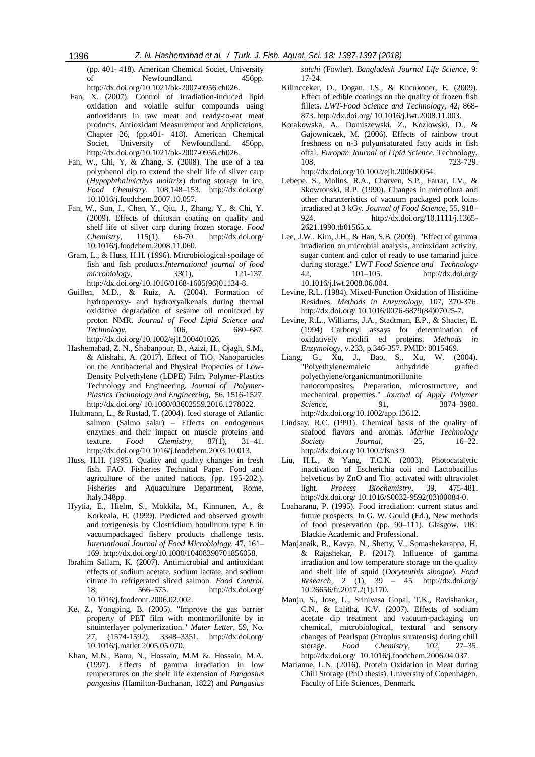(pp. 401- 418). American Chemical Societ, University of Newfoundland. 456pp. [http://dx.doi.org/1](http://dx.doi.org/)0.1021/bk-2007-0956.ch026.

- Fan, X. (2007). Control of irradiation-induced lipid oxidation and volatile sulfur compounds using antioxidants in raw meat and ready-to-eat meat products. Antioxidant Measurement and Applications, Chapter 26, (pp.401- 418). American Chemical Societ, University of Newfoundland. 456pp, [http://dx.doi.org/1](http://dx.doi.org/)0.1021/bk-2007-0956.ch026.
- Fan, W., Chi, Y, & Zhang, S. (2008). The use of a tea polyphenol dip to extend the shelf life of silver carp (*Hypophthalmicthys molitrix*) during storage in ice, *Food Chemistry*, 108,148–153. <http://dx.doi.org/> [10.1016/j.foodchem.2007.10.057.](https://doi.org/10.1016/j.foodchem.2007.10.057)
- Fan, W., Sun, J., Chen, Y., Qiu, J., Zhang, Y., & Chi, Y. (2009). Effects of chitosan coating on quality and shelf life of silver carp during frozen storage. *Food Chemistry*, 115(1), 66-70. <http://dx.doi.org/> [10.1016/j.foodchem.2008.11.060.](https://doi.org/10.1016/j.foodchem.2008.11.060)
- Gram, L., & Huss, H.H. (1996). Microbiological spoilage of fish and fish products.*International journal of food microbiology*, *33*(1), 121-137. [http://dx.doi.org/1](http://dx.doi.org/)0.1016/0168-1605(96)01134-8.
- Guillen, M.D., & Ruiz, A. (2004). Formation of hydroperoxy- and hydroxyalkenals during thermal oxidative degradation of sesame oil monitored by proton NMR. *Journal of Food Lipid Science and Technology*, 106, 680–687. [http://dx.doi.org/1](http://dx.doi.org/)0.1002/ejlt.200401026.
- Hashemabad, Z. N., Shabanpour, B., Azizi, H., Ojagh, S.M., & Alishahi, A. (2017). Effect of TiO<sub>2</sub> Nanoparticles on the Antibacterial and Physical Properties of Low-Density Polyethylene (LDPE) Film. Polymer-Plastics Technology and Engineering. *Journal of [Polymer-](http://www.tandfonline.com/toc/lpte20/current)[Plastics Technology and Engineering,](http://www.tandfonline.com/toc/lpte20/current)* 56, 1516-1527. <http://dx.doi.org/> [10.1080/03602559.2016.1278022.](https://doi.org/10.1080/03602559.2016.1278022)
- Hultmann, L., & Rustad, T. (2004). Iced storage of Atlantic salmon (Salmo salar) – Effects on endogenous enzymes and their impact on muscle proteins and texture. *Food Chemistry*, 87(1), 31–41. [http://dx.doi.org/1](http://dx.doi.org/)0.1016/j.foodchem.2003.10.013.
- Huss, H.H. (1995). Quality and quality changes in fresh fish. FAO. Fisheries Technical Paper. Food and agriculture of the united nations, (pp. 195-202.). [Fisheries and Aquaculture Department,](http://www.fao.org/fishery/) Rome, Italy.348pp.
- Hyytia, E., Hielm, S., Mokkila, M., Kinnunen, A., & Korkeala, H. (1999). Predicted and observed growth and toxigenesis by Clostridium botulinum type E in vacuumpackaged fishery products challenge tests. *International Journal of Food Microbiology*, 47, 161– 169. [http://dx.doi.org/1](http://dx.doi.org/)0.1080/10408390701856058.
- Ibrahim Sallam, K. (2007). Antimicrobial and antioxidant effects of sodium acetate, sodium lactate, and sodium citrate in refrigerated sliced salmon. *Food Control*, 18, 566–575. <http://dx.doi.org/> [10.1016/j.foodcont.2006.02.002.](https://doi.org/10.1016/j.foodcont.2006.02.002)
- Ke, Z., Yongping, B. (2005). "Improve the gas barrier property of PET film with montmorillonite by in situinterlayer polymerization." *Mater Letter*, 59, No. 27, (1574-1592), 3348–3351. <http://dx.doi.org/> [10.1016/j.matlet.2005.05.070.](https://doi.org/10.1016/j.matlet.2005.05.070)
- Khan, M.N., Banu, N., Hossain, M.M &. Hossain, M.A. (1997). Effects of gamma irradiation in low temperatures on the shelf life extension of *Pangasius pangasius* (Hamilton-Buchanan, 1822) and *Pangasius*

*sutchi* (Fowler). *Bangladesh Journal Life Science*, 9: 17-24.

- Kilincceker, O., Dogan, I.S., & Kucukoner, E. (2009). Effect of edible coatings on the quality of frozen fish fillets. *LWT-Food Science and Technology*, 42, 868- 873[. http://dx.doi.org/](http://dx.doi.org/) 10.1016/j.lwt.2008.11.003.
- Kotakowska, A., Domiszewski, Z., Kozlowski, D., & Gajowniczek, M. (2006). Effects of rainbow trout freshness on n-3 polyunsaturated fatty acids in fish offal. *Europan Journal of Lipid Science.* Technology, 108, 723-729. [http://dx.doi.org/1](http://dx.doi.org/)0.1002/ejlt.200600054.
- Lebepe, S., Molins, R.A., Charven, S.P., Farrar, I.V., & Skowronski, R.P. (1990). Changes in microflora and other characteristics of vacuum packaged pork loins irradiated at 3 kGy. *Journal of Food Science*, 55, 918– 924. [http://dx.doi.org/1](http://dx.doi.org/)0.1111/j.1365- 2621.1990.tb01565.x.
- Lee, J.W., Kim, J.H., & Han, S.B. (2009). "Effect of gamma irradiation on microbial analysis, antioxidant activity, sugar content and color of ready to use tamarind juice during storage." LWT *Food Science and Technology* 42, 101–105. <http://dx.doi.org/> 10.1016/j.lwt.2008.06.004.
- Levine, R.L. (1984). Mixed-Function Oxidation of Histidine Residues. *Methods in Enzymology*, 107, 370-376. <http://dx.doi.org/> 10.1016/0076-6879(84)07025-7.
- Levine, R.L., Williams, J.A., Stadtman, E.P., & Shacter, E. (1994) Carbonyl assays for determination of oxidatively modifi ed proteins. *Methods in Enzymology*, v.233, p.346-357. PMID: 8015469.
- G., Xu, J., Bao, S., Xu, W. (2004). "Polyethylene/maleic anhydride grafted polyethylene/organicmontmorillonite nanocomposites, Preparation, microstructure, and mechanical properties." *Journal of Apply Polymer Science*, 91, 3874–3980. [http://dx.doi.org/1](http://dx.doi.org/)0.1002/app.13612.
- Lindsay, R.C. (1991). Chemical basis of the quality of seafood flavors and aromas. *Marine Technology Society Journal*, 25, 16–22. [http://dx.doi.org/1](http://dx.doi.org/)0.1002/fsn3.9.
- Liu, H.L., & Yang, T.C.K. (2003). Photocatalytic inactivation of Escherichia coli and Lactobacillus helveticus by ZnO and Tio<sub>2</sub> activated with ultraviolet light. *Process Biochemistry*, 39, 475-481. <http://dx.doi.org/> [10.1016/S0032-9592\(03\)00084-0.](https://doi.org/10.1016/S0032-9592(03)00084-0)
- Loaharanu, P. (1995). Food irradiation: current status and future prospects. In G. W. Gould (Ed.), New methods of food preservation (pp. 90–111). Glasgow, UK: Blackie Academic and Professional.
- Manjanaik, B., Kavya, N., Shetty, V., Somashekarappa, H. & Rajashekar, P. (2017). Influence of gamma irradiation and low temperature storage on the quality and shelf life of squid (*Doryteuthis sibogae*). *Food Research*, 2 (1), 39 – 45. <http://dx.doi.org/> 10.26656/fr.2017.2(1).170.
- Manju, S., Jose, L., Srinivasa Gopal, T.K., Ravishankar, C.N., & Lalitha, K.V. (2007). Effects of sodium acetate dip treatment and vacuum-packaging on chemical, microbiological, textural and sensory changes of Pearlspot (Etroplus suratensis) during chill storage. *Food Chemistry*, 102, 27–35. <http://dx.doi.org/> 10.1016/j.foodchem.2006.04.037.
- Marianne, L.N. (2016). Protein Oxidation in Meat during Chill Storage (PhD thesis). University of Copenhagen, Faculty of Life Sciences, Denmark.